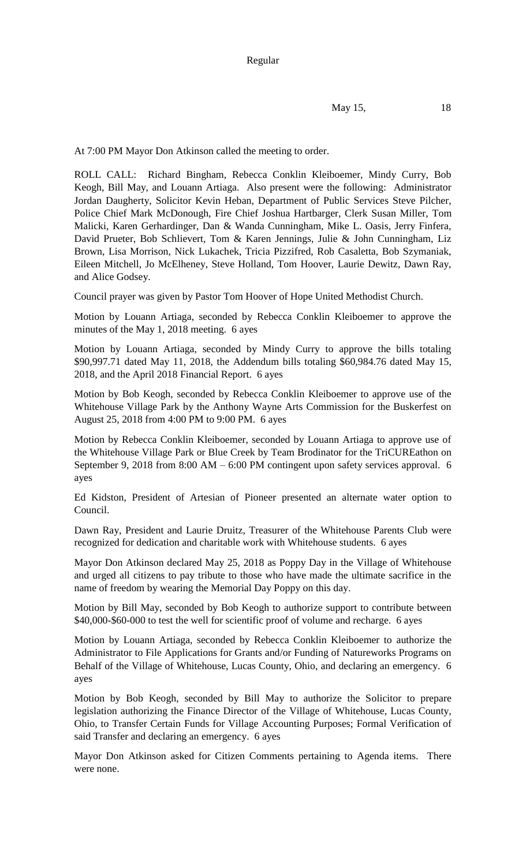May 15, 18

At 7:00 PM Mayor Don Atkinson called the meeting to order.

ROLL CALL: Richard Bingham, Rebecca Conklin Kleiboemer, Mindy Curry, Bob Keogh, Bill May, and Louann Artiaga. Also present were the following: Administrator Jordan Daugherty, Solicitor Kevin Heban, Department of Public Services Steve Pilcher, Police Chief Mark McDonough, Fire Chief Joshua Hartbarger, Clerk Susan Miller, Tom Malicki, Karen Gerhardinger, Dan & Wanda Cunningham, Mike L. Oasis, Jerry Finfera, David Prueter, Bob Schlievert, Tom & Karen Jennings, Julie & John Cunningham, Liz Brown, Lisa Morrison, Nick Lukachek, Tricia Pizzifred, Rob Casaletta, Bob Szymaniak, Eileen Mitchell, Jo McElheney, Steve Holland, Tom Hoover, Laurie Dewitz, Dawn Ray, and Alice Godsey.

Council prayer was given by Pastor Tom Hoover of Hope United Methodist Church.

Motion by Louann Artiaga, seconded by Rebecca Conklin Kleiboemer to approve the minutes of the May 1, 2018 meeting. 6 ayes

Motion by Louann Artiaga, seconded by Mindy Curry to approve the bills totaling \$90,997.71 dated May 11, 2018, the Addendum bills totaling \$60,984.76 dated May 15, 2018, and the April 2018 Financial Report. 6 ayes

Motion by Bob Keogh, seconded by Rebecca Conklin Kleiboemer to approve use of the Whitehouse Village Park by the Anthony Wayne Arts Commission for the Buskerfest on August 25, 2018 from 4:00 PM to 9:00 PM. 6 ayes

Motion by Rebecca Conklin Kleiboemer, seconded by Louann Artiaga to approve use of the Whitehouse Village Park or Blue Creek by Team Brodinator for the TriCUREathon on September 9, 2018 from 8:00 AM – 6:00 PM contingent upon safety services approval. 6 ayes

Ed Kidston, President of Artesian of Pioneer presented an alternate water option to Council.

Dawn Ray, President and Laurie Druitz, Treasurer of the Whitehouse Parents Club were recognized for dedication and charitable work with Whitehouse students. 6 ayes

Mayor Don Atkinson declared May 25, 2018 as Poppy Day in the Village of Whitehouse and urged all citizens to pay tribute to those who have made the ultimate sacrifice in the name of freedom by wearing the Memorial Day Poppy on this day.

Motion by Bill May, seconded by Bob Keogh to authorize support to contribute between \$40,000-\$60-000 to test the well for scientific proof of volume and recharge. 6 ayes

Motion by Louann Artiaga, seconded by Rebecca Conklin Kleiboemer to authorize the Administrator to File Applications for Grants and/or Funding of Natureworks Programs on Behalf of the Village of Whitehouse, Lucas County, Ohio, and declaring an emergency. 6 ayes

Motion by Bob Keogh, seconded by Bill May to authorize the Solicitor to prepare legislation authorizing the Finance Director of the Village of Whitehouse, Lucas County, Ohio, to Transfer Certain Funds for Village Accounting Purposes; Formal Verification of said Transfer and declaring an emergency. 6 ayes

Mayor Don Atkinson asked for Citizen Comments pertaining to Agenda items. There were none.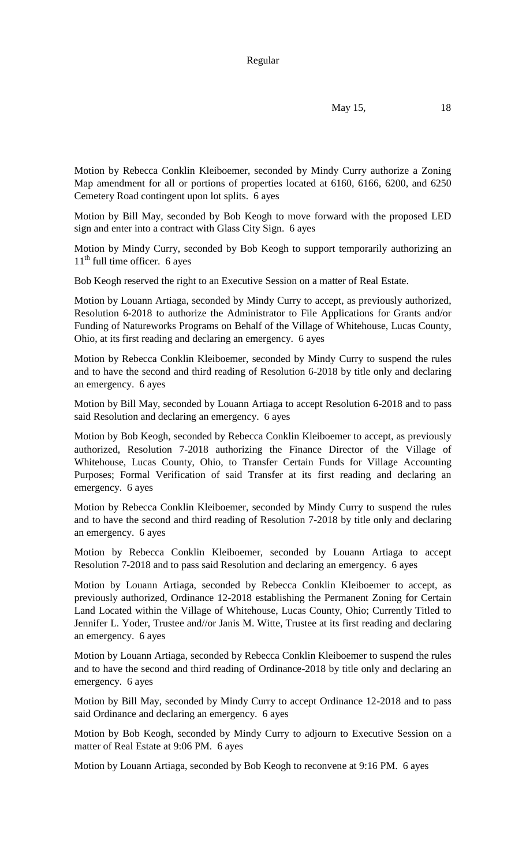May 15, 18

Motion by Rebecca Conklin Kleiboemer, seconded by Mindy Curry authorize a Zoning Map amendment for all or portions of properties located at 6160, 6166, 6200, and 6250 Cemetery Road contingent upon lot splits. 6 ayes

Motion by Bill May, seconded by Bob Keogh to move forward with the proposed LED sign and enter into a contract with Glass City Sign. 6 ayes

Motion by Mindy Curry, seconded by Bob Keogh to support temporarily authorizing an  $11<sup>th</sup>$  full time officer. 6 ayes

Bob Keogh reserved the right to an Executive Session on a matter of Real Estate.

Motion by Louann Artiaga, seconded by Mindy Curry to accept, as previously authorized, Resolution 6-2018 to authorize the Administrator to File Applications for Grants and/or Funding of Natureworks Programs on Behalf of the Village of Whitehouse, Lucas County, Ohio, at its first reading and declaring an emergency. 6 ayes

Motion by Rebecca Conklin Kleiboemer, seconded by Mindy Curry to suspend the rules and to have the second and third reading of Resolution 6-2018 by title only and declaring an emergency. 6 ayes

Motion by Bill May, seconded by Louann Artiaga to accept Resolution 6-2018 and to pass said Resolution and declaring an emergency. 6 ayes

Motion by Bob Keogh, seconded by Rebecca Conklin Kleiboemer to accept, as previously authorized, Resolution 7-2018 authorizing the Finance Director of the Village of Whitehouse, Lucas County, Ohio, to Transfer Certain Funds for Village Accounting Purposes; Formal Verification of said Transfer at its first reading and declaring an emergency. 6 ayes

Motion by Rebecca Conklin Kleiboemer, seconded by Mindy Curry to suspend the rules and to have the second and third reading of Resolution 7-2018 by title only and declaring an emergency. 6 ayes

Motion by Rebecca Conklin Kleiboemer, seconded by Louann Artiaga to accept Resolution 7-2018 and to pass said Resolution and declaring an emergency. 6 ayes

Motion by Louann Artiaga, seconded by Rebecca Conklin Kleiboemer to accept, as previously authorized, Ordinance 12-2018 establishing the Permanent Zoning for Certain Land Located within the Village of Whitehouse, Lucas County, Ohio; Currently Titled to Jennifer L. Yoder, Trustee and//or Janis M. Witte, Trustee at its first reading and declaring an emergency. 6 ayes

Motion by Louann Artiaga, seconded by Rebecca Conklin Kleiboemer to suspend the rules and to have the second and third reading of Ordinance-2018 by title only and declaring an emergency. 6 ayes

Motion by Bill May, seconded by Mindy Curry to accept Ordinance 12-2018 and to pass said Ordinance and declaring an emergency. 6 ayes

Motion by Bob Keogh, seconded by Mindy Curry to adjourn to Executive Session on a matter of Real Estate at 9:06 PM. 6 ayes

Motion by Louann Artiaga, seconded by Bob Keogh to reconvene at 9:16 PM. 6 ayes